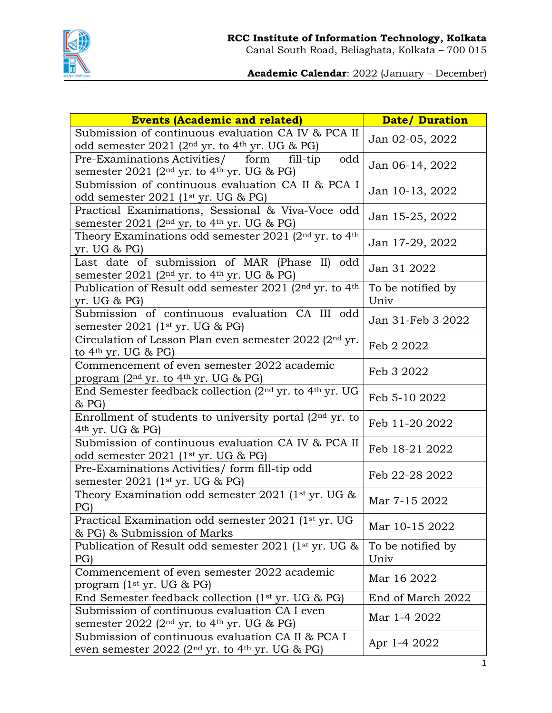

**Academic Calendar**: 2022 (January – December)

| <b>Events (Academic and related)</b>                                                                                  | <b>Date/Duration</b>      |
|-----------------------------------------------------------------------------------------------------------------------|---------------------------|
| Submission of continuous evaluation CA IV & PCA II<br>odd semester 2021 ( $2nd$ yr. to $4th$ yr. UG & PG)             | Jan 02-05, 2022           |
| Pre-Examinations Activities/ form<br>fill-tip<br>odd<br>semester 2021 ( $2nd$ yr. to $4th$ yr. UG & PG)               | Jan 06-14, 2022           |
| Submission of continuous evaluation CA II & PCA I<br>odd semester $2021$ (1 <sup>st</sup> yr. UG & PG)                | Jan 10-13, 2022           |
| Practical Exanimations, Sessional & Viva-Voce odd<br>semester 2021 ( $2nd$ yr. to $4th$ yr. UG & PG)                  | Jan 15-25, 2022           |
| Theory Examinations odd semester 2021 ( $2nd$ yr. to $4th$<br>yr. UG & PG                                             | Jan 17-29, 2022           |
| Last date of submission of MAR (Phase II)<br>odd<br>semester 2021 ( $2nd$ yr. to $4th$ yr. UG & PG)                   | Jan 31 2022               |
| Publication of Result odd semester 2021 (2nd yr. to 4th<br>yr. UG & PG                                                | To be notified by<br>Univ |
| Submission of continuous evaluation CA III odd<br>semester $2021$ (1 <sup>st</sup> yr. UG & PG)                       | Jan 31-Feb 3 2022         |
| Circulation of Lesson Plan even semester 2022 (2nd yr.<br>to $4th$ yr. UG & PG)                                       | Feb 2 2022                |
| Commencement of even semester 2022 academic<br>program ( $2nd$ yr. to $4th$ yr. UG & PG)                              | Feb 3 2022                |
| End Semester feedback collection (2nd yr. to 4th yr. UG<br>& PG                                                       | Feb 5-10 2022             |
| Enrollment of students to university portal $(2nd$ yr. to<br>$4th$ yr. UG & PG)                                       | Feb 11-20 2022            |
| Submission of continuous evaluation CA IV & PCA II<br>odd semester $2021$ (1 <sup>st</sup> yr. UG & PG)               | Feb 18-21 2022            |
| Pre-Examinations Activities/ form fill-tip odd<br>semester $2021$ (1 <sup>st</sup> yr. UG & PG)                       | Feb 22-28 2022            |
| Theory Examination odd semester 2021 ( $1st$ yr. UG &<br>PG)                                                          | Mar 7-15 2022             |
| Practical Examination odd semester 2021 (1 <sup>st</sup> yr. UG<br>& PG) & Submission of Marks                        | Mar 10-15 2022            |
| Publication of Result odd semester 2021 (1st yr. UG &<br>PG)                                                          | To be notified by<br>Univ |
| Commencement of even semester 2022 academic<br>program $(1st yr. UG & PG)$                                            | Mar 16 2022               |
| End Semester feedback collection (1st yr. UG & PG)                                                                    | End of March 2022         |
| Submission of continuous evaluation CA I even<br>semester $2022$ (2 <sup>nd</sup> yr. to 4 <sup>th</sup> yr. UG & PG) | Mar 1-4 2022              |
| Submission of continuous evaluation CA II & PCA I<br>even semester 2022 ( $2nd$ yr. to $4th$ yr. UG & PG)             | Apr 1-4 2022              |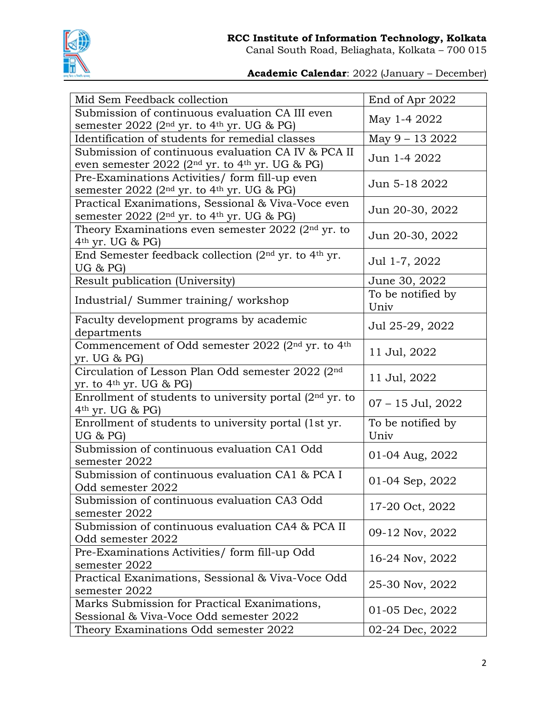

Canal South Road, Beliaghata, Kolkata – 700 015

**Academic Calendar**: 2022 (January – December)

| Mid Sem Feedback collection                                                                                                   | End of Apr 2022           |
|-------------------------------------------------------------------------------------------------------------------------------|---------------------------|
| Submission of continuous evaluation CA III even<br>semester $2022$ (2 <sup>nd</sup> yr. to 4 <sup>th</sup> yr. UG & PG)       | May 1-4 2022              |
| Identification of students for remedial classes                                                                               | May 9 - 13 2022           |
| Submission of continuous evaluation CA IV & PCA II<br>even semester 2022 (2 <sup>nd</sup> yr. to 4 <sup>th</sup> yr. UG & PG) | Jun 1-4 2022              |
| Pre-Examinations Activities/ form fill-up even<br>semester $2022$ (2 <sup>nd</sup> yr. to 4 <sup>th</sup> yr. UG & PG)        | Jun 5-18 2022             |
| Practical Exanimations, Sessional & Viva-Voce even<br>semester $2022$ (2 <sup>nd</sup> yr. to 4 <sup>th</sup> yr. UG & PG)    | Jun 20-30, 2022           |
| Theory Examinations even semester $2022$ ( $2nd$ yr. to<br>$4th$ yr. UG & PG)                                                 | Jun 20-30, 2022           |
| End Semester feedback collection ( $2nd$ yr. to $4th$ yr.<br>UG & PG                                                          | Jul 1-7, 2022             |
| Result publication (University)                                                                                               | June 30, 2022             |
| Industrial/Summer training/workshop                                                                                           | To be notified by<br>Univ |
| Faculty development programs by academic<br>departments                                                                       | Jul 25-29, 2022           |
| Commencement of Odd semester 2022 ( $2nd$ yr. to $4th$<br>yr. UG & PG                                                         | 11 Jul, 2022              |
| Circulation of Lesson Plan Odd semester 2022 (2nd<br>yr. to 4 <sup>th</sup> yr. UG & PG)                                      | 11 Jul, 2022              |
| Enrollment of students to university portal ( $2nd$ yr. to<br>$4th$ yr. UG & PG)                                              | $07 - 15$ Jul, $2022$     |
| Enrollment of students to university portal (1st yr.<br>UG & PG                                                               | To be notified by<br>Univ |
| Submission of continuous evaluation CA1 Odd<br>semester 2022                                                                  | 01-04 Aug, 2022           |
| Submission of continuous evaluation CA1 & PCA I<br>Odd semester 2022                                                          | 01-04 Sep, 2022           |
| Submission of continuous evaluation CA3 Odd<br>semester 2022                                                                  | 17-20 Oct, 2022           |
| Submission of continuous evaluation CA4 & PCA II<br>Odd semester 2022                                                         | 09-12 Nov, 2022           |
| Pre-Examinations Activities/ form fill-up Odd<br>semester 2022                                                                | 16-24 Nov, 2022           |
| Practical Exanimations, Sessional & Viva-Voce Odd<br>semester 2022                                                            | 25-30 Nov, 2022           |
| Marks Submission for Practical Exanimations,<br>Sessional & Viva-Voce Odd semester 2022                                       | 01-05 Dec, 2022           |
| Theory Examinations Odd semester 2022                                                                                         | 02-24 Dec, 2022           |